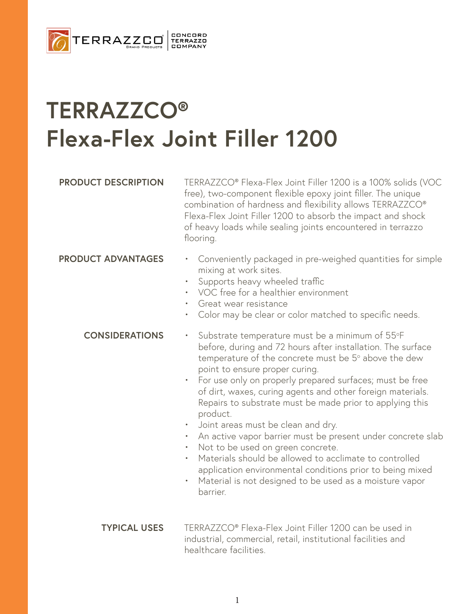

# **TERRAZZCO® Flexa-Flex Joint Filler 1200**

**PRODUCT DESCRIPTION** TERRAZZCO® Flexa-Flex Joint Filler 1200 is a 100% solids (VOC free), two-component flexible epoxy joint filler. The unique combination of hardness and flexibility allows TERRAZZCO® Flexa-Flex Joint Filler 1200 to absorb the impact and shock of heavy loads while sealing joints encountered in terrazzo flooring.

- **PRODUCT ADVANTAGES** Conveniently packaged in pre-weighed quantities for simple mixing at work sites.
	- Supports heavy wheeled traffic
	- VOC free for a healthier environment
	- Great wear resistance
	- Color may be clear or color matched to specific needs.

#### **CONSIDERATIONS**

- Substrate temperature must be a minimum of 55°F before, during and 72 hours after installation. The surface temperature of the concrete must be  $5^{\circ}$  above the dew point to ensure proper curing.
	- For use only on properly prepared surfaces; must be free of dirt, waxes, curing agents and other foreign materials. Repairs to substrate must be made prior to applying this product.
	- Joint areas must be clean and dry.
	- An active vapor barrier must be present under concrete slab
	- Not to be used on green concrete.
	- Materials should be allowed to acclimate to controlled application environmental conditions prior to being mixed
	- Material is not designed to be used as a moisture vapor barrier.
- TERRAZZCO® Flexa-Flex Joint Filler 1200 can be used in industrial, commercial, retail, institutional facilities and healthcare facilities. **TYPICAL USES**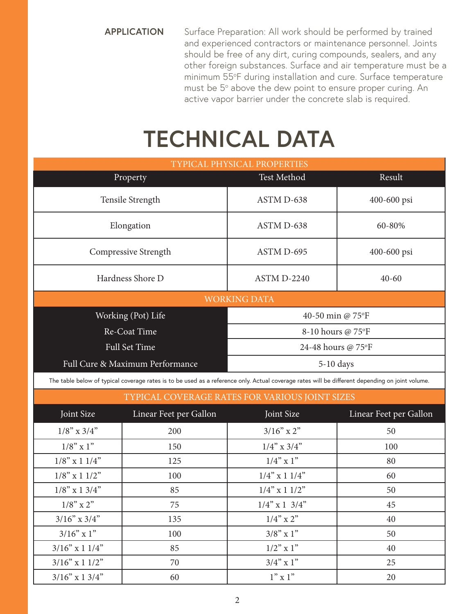**APPLICATION** Surface Preparation: All work should be performed by trained and experienced contractors or maintenance personnel. Joints should be free of any dirt, curing compounds, sealers, and any other foreign substances. Surface and air temperature must be a minimum 55°F during installation and cure. Surface temperature must be  $5^{\circ}$  above the dew point to ensure proper curing. An active vapor barrier under the concrete slab is required.

# **TECHNICAL DATA**

| TYPICAL PHYSICAL PROPERTIES     |                    |             |  |
|---------------------------------|--------------------|-------------|--|
| Property                        | <b>Test Method</b> | Result      |  |
| Tensile Strength                | ASTM D-638         | 400-600 psi |  |
| Elongation                      | ASTM D-638         | 60-80%      |  |
| Compressive Strength            | ASTM D-695         | 400-600 psi |  |
| Hardness Shore D                | ASTM D-2240        | $40 - 60$   |  |
| <b>WORKING DATA</b>             |                    |             |  |
| Working (Pot) Life              | 40-50 min @ 75°F   |             |  |
| Re-Coat Time                    | 8-10 hours @ 75°F  |             |  |
| <b>Full Set Time</b>            | 24-48 hours @ 75°F |             |  |
| Full Cure & Maximum Performance | $5-10$ days        |             |  |
|                                 |                    |             |  |

The table below of typical coverage rates is to be used as a reference only. Actual coverage rates will be different depending on joint volume.

| TYPICAL COVERAGE RATES FOR VARIOUS JOINT SIZES |                        |                     |                        |  |
|------------------------------------------------|------------------------|---------------------|------------------------|--|
| Joint Size                                     | Linear Feet per Gallon | Joint Size          | Linear Feet per Gallon |  |
| $1/8$ " x $3/4$ "                              | 200                    | $3/16"$ x 2"        | 50                     |  |
| $1/8$ " x 1"                                   | 150                    | $1/4$ " x $3/4$ "   | 100                    |  |
| $1/8$ " x 1 $1/4$ "                            | 125                    | $1/4$ " x 1"        | 80                     |  |
| $1/8$ " x 1 $1/2$ "                            | 100                    | $1/4$ " x 1 $1/4$ " | 60                     |  |
| $1/8$ " x 1 3/4"                               | 85                     | $1/4$ " x 1 $1/2$ " | 50                     |  |
| $1/8$ " x 2"                                   | 75                     | $1/4$ " x 1 3/4"    | 45                     |  |
| $3/16$ " x $3/4$ "                             | 135                    | $1/4$ " x 2"        | 40                     |  |
| $3/16"$ x 1"                                   | 100                    | $3/8$ " x 1"        | 50                     |  |
| $3/16$ " x 1 $1/4$ "                           | 85                     | $1/2$ " x 1"        | 40                     |  |
| $3/16"$ x 1 1/2"                               | 70                     | $3/4$ " x 1"        | 25                     |  |
| $3/16$ " x 1 3/4"                              | 60                     | $1"$ x 1"           | 20                     |  |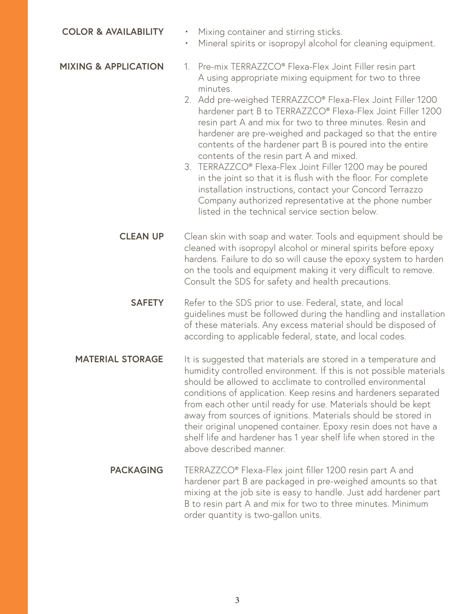| <b>COLOR &amp; AVAILABILITY</b> | Mixing container and stirring sticks.<br>$\bullet$<br>Mineral spirits or isopropyl alcohol for cleaning equipment.<br>$\bullet$                                                                                                                                                                                                                                                                                                                                                                                                                                                                                                                                                                                                                                                               |  |
|---------------------------------|-----------------------------------------------------------------------------------------------------------------------------------------------------------------------------------------------------------------------------------------------------------------------------------------------------------------------------------------------------------------------------------------------------------------------------------------------------------------------------------------------------------------------------------------------------------------------------------------------------------------------------------------------------------------------------------------------------------------------------------------------------------------------------------------------|--|
| <b>MIXING &amp; APPLICATION</b> | 1. Pre-mix TERRAZZCO® Flexa-Flex Joint Filler resin part<br>A using appropriate mixing equipment for two to three<br>minutes.<br>2. Add pre-weighed TERRAZZCO® Flexa-Flex Joint Filler 1200<br>hardener part B to TERRAZZCO® Flexa-Flex Joint Filler 1200<br>resin part A and mix for two to three minutes. Resin and<br>hardener are pre-weighed and packaged so that the entire<br>contents of the hardener part B is poured into the entire<br>contents of the resin part A and mixed.<br>3. TERRAZZCO® Flexa-Flex Joint Filler 1200 may be poured<br>in the joint so that it is flush with the floor. For complete<br>installation instructions, contact your Concord Terrazzo<br>Company authorized representative at the phone number<br>listed in the technical service section below. |  |
| <b>CLEAN UP</b>                 | Clean skin with soap and water. Tools and equipment should be<br>cleaned with isopropyl alcohol or mineral spirits before epoxy<br>hardens. Failure to do so will cause the epoxy system to harden<br>on the tools and equipment making it very difficult to remove.<br>Consult the SDS for safety and health precautions.                                                                                                                                                                                                                                                                                                                                                                                                                                                                    |  |
| <b>SAFETY</b>                   | Refer to the SDS prior to use. Federal, state, and local<br>guidelines must be followed during the handling and installation<br>of these materials. Any excess material should be disposed of<br>according to applicable federal, state, and local codes.                                                                                                                                                                                                                                                                                                                                                                                                                                                                                                                                     |  |
| <b>MATERIAL STORAGE</b>         | It is suggested that materials are stored in a temperature and<br>humidity controlled environment. If this is not possible materials<br>should be allowed to acclimate to controlled environmental<br>conditions of application. Keep resins and hardeners separated<br>from each other until ready for use. Materials should be kept<br>away from sources of ignitions. Materials should be stored in<br>their original unopened container. Epoxy resin does not have a<br>shelf life and hardener has 1 year shelf life when stored in the<br>above described manner.                                                                                                                                                                                                                       |  |
| <b>PACKAGING</b>                | TERRAZZCO® Flexa-Flex joint filler 1200 resin part A and<br>hardener part B are packaged in pre-weighed amounts so that<br>mixing at the job site is easy to handle. Just add hardener part                                                                                                                                                                                                                                                                                                                                                                                                                                                                                                                                                                                                   |  |

order quantity is two-gallon units.

B to resin part A and mix for two to three minutes. Minimum